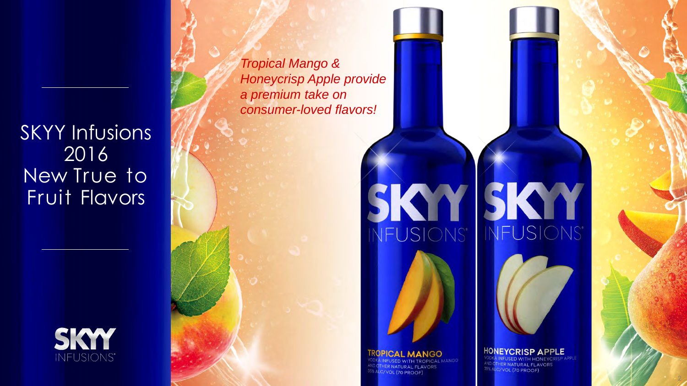SKYY Infusions 2016 New True to Fruit Flavors



*Tropical Mango & Honeycrisp Apple provide a premium take on consumer-loved flavors!*

#### **TROPICAL MANGO**

*IHER NATURAL FLAVORS* 35% ALC/VOL (70 PROOF)

# SKY SKY NFUSIONS NFUSIONS



VODKA INFUSED WITH HONEYCRISP APPLI AND OTHER NATURAL FLAVORS 35% ALC/VOL (70 PROOF)

2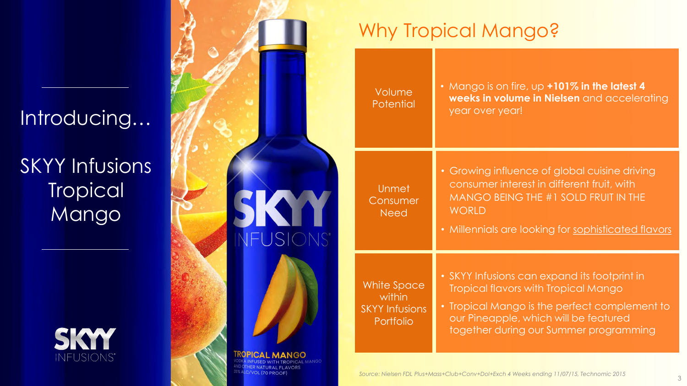### Introducing…

SKYY Infusions **Tropical** Mango





### Why Tropical Mango?

Volume **Potential** 

Unmet **Consumer Need** 

• Mango is on fire, up **+101% in the latest 4 weeks in volume in Nielsen** and accelerating year over year!

• Growing influence of global cuisine driving consumer interest in different fruit, with MANGO BEING THE #1 SOLD FRUIT IN THE **WORLD** 

• Millennials are looking for sophisticated flavors

White Space within SKYY Infusions Portfolio

- SKYY Infusions can expand its footprint in Tropical flavors with Tropical Mango
- Tropical Mango is the perfect complement to our Pineapple, which will be featured together during our Summer programming

*Source: Nielsen FDL Plus+Mass+Club+Conv+Dol+Exch 4 Weeks ending 11/07/15, Technomic 2015*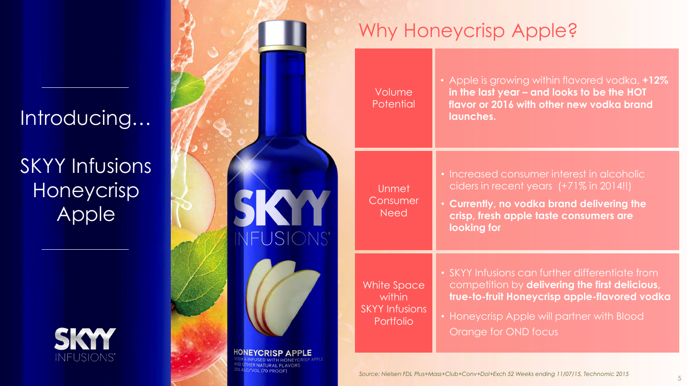#### Introducing…

SKYY Infusions Honeycrisp **Apple** 





C/VOL (70 PROOF

### Why Honeycrisp Apple?

Volume **Potential** 

Unmet

Need

• Apple is growing within flavored vodka, **+12% in the last year – and looks to be the HOT flavor or 2016 with other new vodka brand launches.**

• Increased consumer interest in alcoholic ciders in recent years (+71% in 2014!!)

• **Currently, no vodka brand delivering the crisp, fresh apple taste consumers are looking for**

White Space within SKYY Infusions Portfolio

- SKYY Infusions can further differentiate from competition by **delivering the first delicious, true-to-fruit Honeycrisp apple-flavored vodka**
- Honeycrisp Apple will partner with Blood Orange for OND focus

*Source: Nielsen FDL Plus+Mass+Club+Conv+Dol+Exch 52 Weeks ending 11/07/15, Technomic 2015*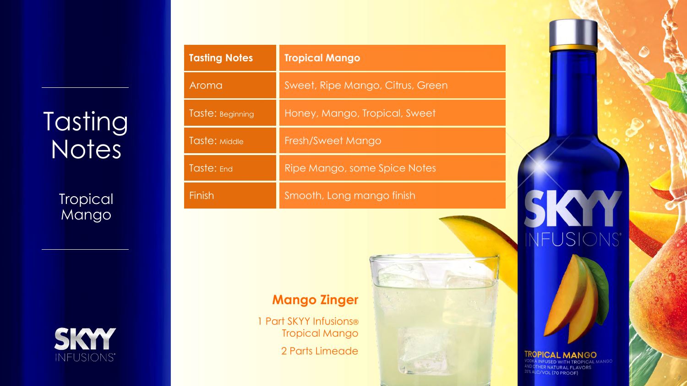# **Tasting Notes**

**Tropical** Mango

**SKYY** 

| <b>Tasting Notes</b> | <b>Tropical Mango</b>            |
|----------------------|----------------------------------|
| Aroma                | Sweet, Ripe Mango, Citrus, Green |
| Taste: Beginning     | Honey, Mango, Tropical, Sweet    |
| Taste: Middle        | Fresh/Sweet Mango                |
| Taste: End           | Ripe Mango, some Spice Notes     |
| Finish               | Smooth, Long mango finish        |

#### **Mango Zinger**

1 Part SKYY Infusions® Tropical Mango

2 Parts Limeade



### **TROPICAL MANGO<br>VODKA INFUSED WITH TROPICAL MANGO<br>AND OTHER NATURAL FLAVORS**

INFUSIONS'

35% ALC/VOL (70 PROOF)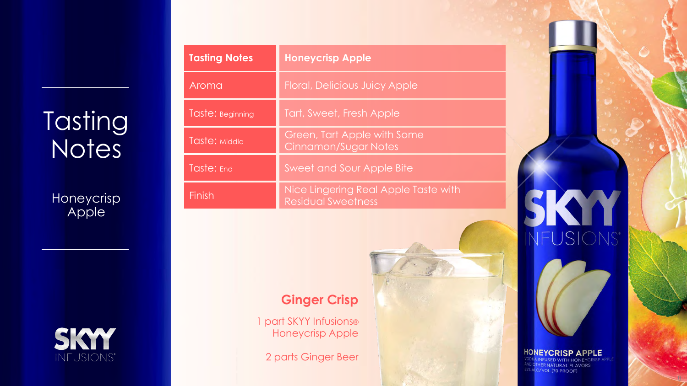# **Tasting Notes**

**Honeycrisp** Apple



| <b>Tasting Notes</b> | <b>Honeycrisp Apple</b>                                           |
|----------------------|-------------------------------------------------------------------|
| Aroma                | <b>Floral, Delicious Juicy Apple</b>                              |
| Taste: Beginning     | Tart, Sweet, Fresh Apple                                          |
| Taste: Middle        | Green, Tart Apple with Some<br>Cinnamon/Sugar Notes               |
| Taste: End           | <b>Sweet and Sour Apple Bite</b>                                  |
| Finish               | Nice Lingering Real Apple Taste with<br><b>Residual Sweetness</b> |

#### **Ginger Crisp**

1 part SKYY Infusions® Honeycrisp Apple

2 parts Ginger Beer



# HONEYCRISP APPLE<br>VODKA INFUSED WITH HONEYCRISP A<br><sup>AND OTHER NATURAL FLAVORS</sup><br><sup>35% ALC/VOL (70 PROOF)</sup>

8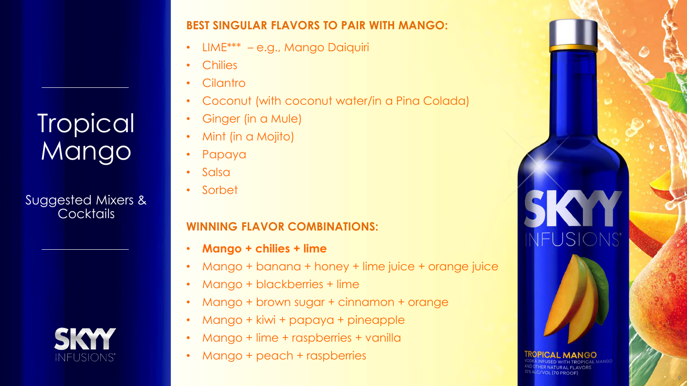### Tropical Mango

Suggested Mixers & **Cocktails** 

NEUSIONS

#### **BEST SINGULAR FLAVORS TO PAIR WITH MANGO:**

- LIME\*\*\* e.g., Mango Daiquiri
- Chilies
- **Cilantro**
- Coconut (with coconut water/in a Pina Colada)
- Ginger (in a Mule)
- Mint (in a Mojito)
- Papaya
- Salsa
- Sorbet

#### **WINNING FLAVOR COMBINATIONS:**

- **Mango + chilies + lime**
- Mango + banana + honey + lime juice + orange juice

9

FUSIONS<sup>®</sup>

**MANGO** 

C/VOL (70 PROOF)

- Mango + blackberries + lime
- Mango + brown sugar + cinnamon + orange
- Mango + kiwi + papaya + pineapple
- Mango + lime + raspberries + vanilla
- Mango + peach + raspberries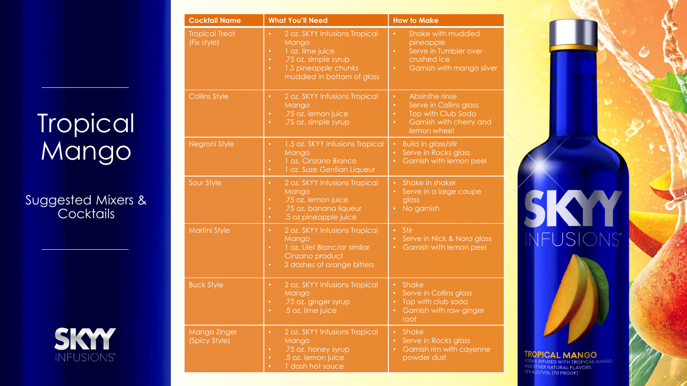# **Tropical** Mango

Suggested Mixers & Cocktails



| <b>Cocktail Name</b>                 | <b>What You'll Need</b>                                                                                                                                                                      | <b>How to Make</b>                                                                                                                                           |
|--------------------------------------|----------------------------------------------------------------------------------------------------------------------------------------------------------------------------------------------|--------------------------------------------------------------------------------------------------------------------------------------------------------------|
| <b>Tropical Treat</b><br>(Fix style) | 2 oz. SKYY Infusions Tropical<br>$\bullet$<br>Mango<br>1 oz. lime juice<br>$\bullet$<br>.75 oz. simple syrup<br>$\bullet$<br>1.5 pineapple chunks<br>$\bullet$<br>muddled in bottom of glass | Shake with muddled<br>$\bullet$<br>pineapple<br>Serve in Tumbler over<br>$\bullet$<br>crushed ice<br>Garnish with mango sliver<br>$\bullet$                  |
| <b>Collins Style</b>                 | 2 oz. SKYY Infusions Tropical<br>$\bullet$<br>Mango<br>.75 oz. lemon juice<br>$\bullet$<br>.75 oz. simple syrup<br>$\bullet$                                                                 | Absinthe rinse<br>$\bullet$<br>Serve in Collins glass<br>$\bullet$<br>Top with Club Soda<br>$\bullet$<br>Garnish with cherry and<br>$\bullet$<br>lemon wheel |
| Negroni Style                        | 1.5 oz. SKYY Infusions Tropical<br>$\bullet$<br>Mango<br>1 oz. Cinzano Bianco<br>٠<br>1 oz. Suze Gentian Liqueur<br>$\bullet$                                                                | <b>Build in glass/stir</b><br>$\bullet$<br>Serve in Rocks glass<br>$\bullet$<br>Garnish with lemon peel<br>$\bullet$                                         |
| Sour Style                           | 2 oz. SKYY Infusions Tropical<br>$\bullet$<br>Mango<br>.75 oz. lemon juice<br>٠<br>.75 oz. banana liqueur<br>$\bullet$<br>.5 oz pineapple juice<br>$\bullet$                                 | Shake in shaker<br>$\bullet$<br>Serve in a large coupe<br>$\bullet$<br>glass<br>No garnish<br>$\bullet$                                                      |
| Martini Style                        | 2 oz. SKYY Infusions Tropical<br>$\bullet$<br>Mango<br>1 oz. Lilet Blanc/or similar<br>$\bullet$<br>Cinzano product<br>2 dashes of orange bitters<br>$\bullet$                               | Stir<br>$\bullet$<br>Serve in Nick & Nora glass<br>$\bullet$<br>Garnish with lemon peel<br>$\bullet$                                                         |
| <b>Buck Style</b>                    | 2 oz. SKYY Infusions Tropical<br>$\bullet$<br>Mango<br>.75 oz. ginger syrup<br>$\bullet$<br>.5 oz. lime juice<br>$\bullet$                                                                   | Shake<br>$\bullet$<br>Serve in Collins glass<br>$\bullet$<br>Top with club soda<br>$\bullet$<br>Garnish with raw ginger<br>$\bullet$<br>root                 |
| Mango Zinger<br>(Spicy Style)        | 2 oz. SKYY Infusions Tropical<br>$\bullet$<br>Mango<br>.75 oz. honey syrup<br>$\bullet$<br>.5 oz. lemon juice<br>$\bullet$<br>1 dash hot sauce<br>$\bullet$                                  | Shake<br>$\bullet$<br>Serve in Rocks glass<br>$\bullet$<br>Garnish rim with cayenne<br>$\bullet$<br>powder dust                                              |

# K NFUSIONS'

**TROPICAL MANGO** VODKA INFUSED WITH TROPICAL MANGO AND OTHER NATURAL FLAVORS 35% ALC/VOL (70 PROOF)

10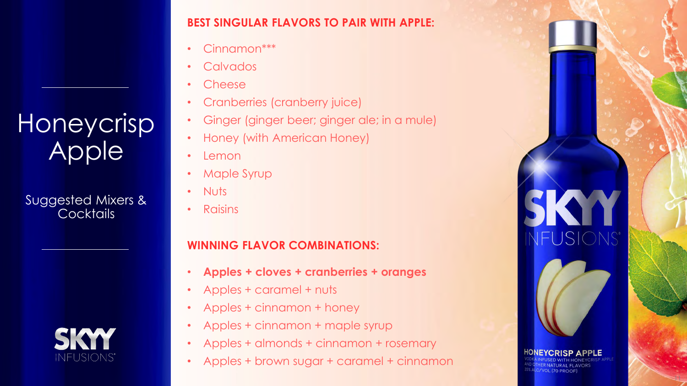### Honeycrisp Apple

Suggested Mixers & **Cocktails** 

SKY

#### **BEST SINGULAR FLAVORS TO PAIR WITH APPLE:**

- Cinnamon\*\*\*
- Calvados
- Cheese
- Cranberries (cranberry juice)
- Ginger (ginger beer; ginger ale; in a mule)
- Honey (with American Honey)
- Lemon
- Maple Syrup
- Nuts
- Raisins

#### **WINNING FLAVOR COMBINATIONS:**

- **Apples + cloves + cranberries + oranges**
- Apples + caramel + nuts
- Apples + cinnamon + honey
- Apples + cinnamon + maple syrup
- Apples + almonds + cinnamon + rosemary
- Apples + brown sugar + caramel + cinnamon

11

FUSIONS'

C/VOL (70 PROOF)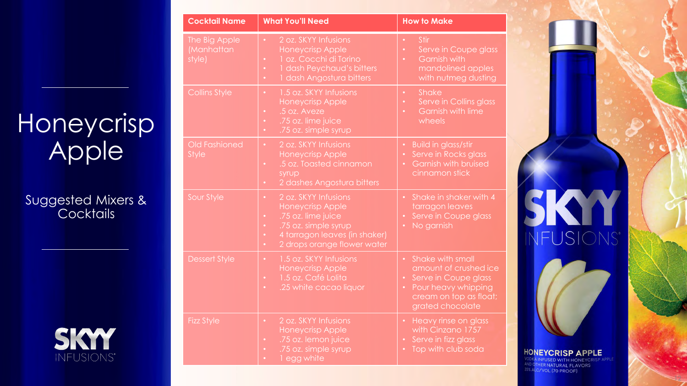## Honeycrisp Apple

Suggested Mixers & Cocktails



| <b>Cocktail Name</b>                  | <b>What You'll Need</b>                                                                                                                                                                                                 | <b>How to Make</b>                                                                                                                                               |
|---------------------------------------|-------------------------------------------------------------------------------------------------------------------------------------------------------------------------------------------------------------------------|------------------------------------------------------------------------------------------------------------------------------------------------------------------|
| The Big Apple<br>(Manhattan<br>style) | 2 oz. SKYY Infusions<br>$\bullet$<br><b>Honeycrisp Apple</b><br>1 oz. Cocchi di Torino<br>$\bullet$<br>1 dash Peychaud's bitters<br>$\bullet$<br>1 dash Angostura bitters<br>$\bullet$                                  | <b>Stir</b><br>$\bullet$<br>Serve in Coupe glass<br>$\bullet$<br>Garnish with<br>$\bullet$<br>mandolined apples<br>with nutmeg dusting                           |
| <b>Collins Style</b>                  | 1.5 oz. SKYY Infusions<br>$\bullet$<br>Honeycrisp Apple<br>.5 oz. Aveze<br>$\bullet$<br>.75 oz. lime juice<br>$\bullet$<br>.75 oz. simple syrup<br>$\bullet$                                                            | Shake<br>$\bullet$<br>Serve in Collins glass<br>$\bullet$<br><b>Garnish with lime</b><br>wheels                                                                  |
| <b>Old Fashioned</b><br><b>Style</b>  | 2 oz. SKYY Infusions<br>$\bullet$<br>Honeycrisp Apple<br>.5 oz. Toasted cinnamon<br>$\bullet$<br>syrup<br>2 dashes Angostura bitters<br>$\bullet$                                                                       | <b>Build in glass/stir</b><br>$\bullet$<br>Serve in Rocks glass<br><b>Garnish with bruised</b><br>cinnamon stick                                                 |
| Sour Style                            | 2 oz. SKYY Infusions<br>$\bullet$<br>Honeycrisp Apple<br>.75 oz. lime juice<br>$\bullet$<br>.75 oz. simple syrup<br>$\bullet$<br>4 tarragon leaves (in shaker)<br>$\bullet$<br>2 drops orange flower water<br>$\bullet$ | Shake in shaker with 4<br>tarragon leaves<br>Serve in Coupe glass<br>No garnish                                                                                  |
| <b>Dessert Style</b>                  | 1.5 oz. SKYY Infusions<br>$\bullet$<br>Honeycrisp Apple<br>1.5 oz. Café Lolita<br>$\bullet$<br>.25 white cacao liquor<br>$\bullet$                                                                                      | Shake with small<br>$\bullet$<br>amount of crushed ice<br>Serve in Coupe glass<br>$\bullet$<br>Pour heavy whipping<br>cream on top as float;<br>grated chocolate |
| <b>Fizz Style</b>                     | 2 oz. SKYY Infusions<br>$\bullet$<br>Honeycrisp Apple<br>.75 oz. lemon juice<br>$\bullet$<br>.75 oz. simple syrup<br>٠<br>1 egg white                                                                                   | <b>Heavy rinse on glass</b><br>with Cinzano 1757<br>Serve in fizz glass<br>Top with club soda                                                                    |

12

FUSIONS'

**NEYCRISP APPLE** NFUSED WITH HONEYCRIS HER NATURAL FLAVORS VOL (70 PROOF)